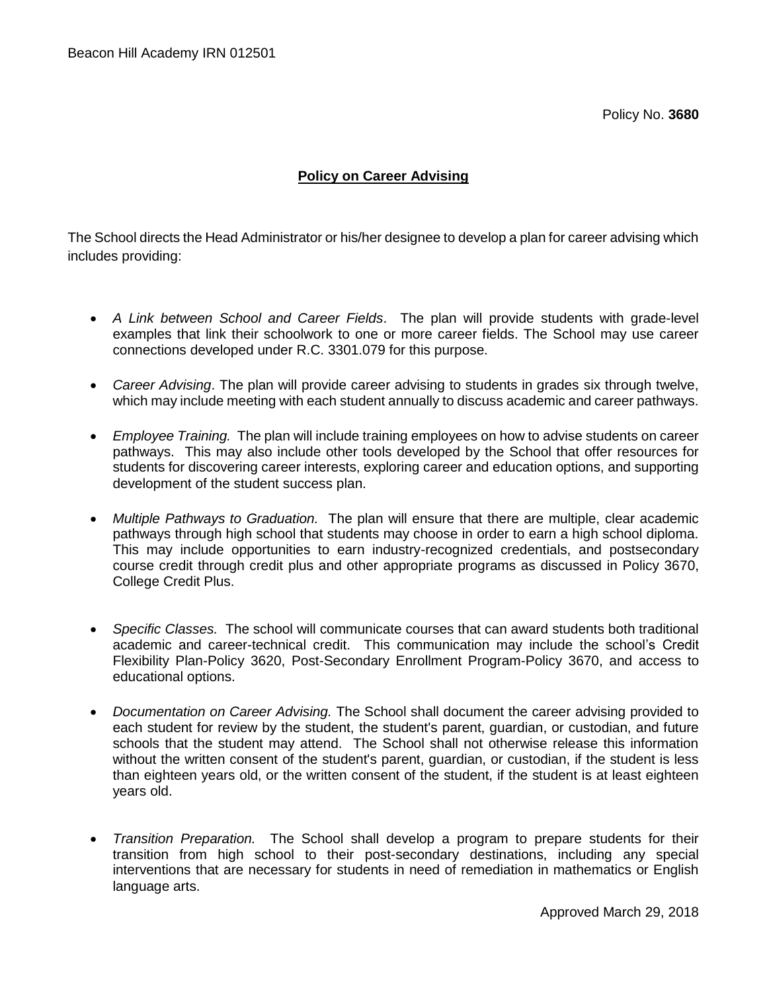Policy No. **3680**

## **Policy on Career Advising**

The School directs the Head Administrator or his/her designee to develop a plan for career advising which includes providing:

- *A Link between School and Career Fields*. The plan will provide students with grade-level examples that link their schoolwork to one or more career fields. The School may use career connections developed under R.C. 3301.079 for this purpose.
- *Career Advising*. The plan will provide career advising to students in grades six through twelve, which may include meeting with each student annually to discuss academic and career pathways.
- *Employee Training.* The plan will include training employees on how to advise students on career pathways. This may also include other tools developed by the School that offer resources for students for discovering career interests, exploring career and education options, and supporting development of the student success plan.
- *Multiple Pathways to Graduation.* The plan will ensure that there are multiple, clear academic pathways through high school that students may choose in order to earn a high school diploma. This may include opportunities to earn industry-recognized credentials, and postsecondary course credit through credit plus and other appropriate programs as discussed in Policy 3670, College Credit Plus.
- *Specific Classes.* The school will communicate courses that can award students both traditional academic and career-technical credit. This communication may include the school's Credit Flexibility Plan-Policy 3620, Post-Secondary Enrollment Program-Policy 3670, and access to educational options.
- *Documentation on Career Advising.* The School shall document the career advising provided to each student for review by the student, the student's parent, guardian, or custodian, and future schools that the student may attend. The School shall not otherwise release this information without the written consent of the student's parent, guardian, or custodian, if the student is less than eighteen years old, or the written consent of the student, if the student is at least eighteen years old.
- *Transition Preparation.* The School shall develop a program to prepare students for their transition from high school to their post-secondary destinations, including any special interventions that are necessary for students in need of remediation in mathematics or English language arts.